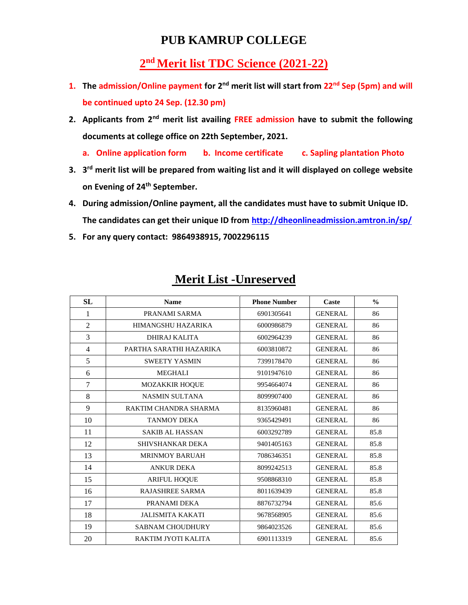### **PUB KAMRUP COLLEGE**

### **nd Merit list TDC Science (2021-22)**

- **1. The admission/Online payment for 2nd merit list will start from 22nd Sep (5pm) and will be continued upto 24 Sep. (12.30 pm)**
- **2. Applicants from 2nd merit list availing FREE admission have to submit the following documents at college office on 22th September, 2021.**
	- **a. Online application form b. Income certificate c. Sapling plantation Photo**
- **3. 3 rd merit list will be prepared from waiting list and it will displayed on college website on Evening of 24th September.**
- **4. During admission/Online payment, all the candidates must have to submit Unique ID. The candidates can get their unique ID from<http://dheonlineadmission.amtron.in/sp/>**
- **5. For any query contact: 9864938915, 7002296115**

| SL             | <b>Name</b>             | <b>Phone Number</b> | Caste          | $\frac{0}{0}$ |
|----------------|-------------------------|---------------------|----------------|---------------|
| 1              | PRANAMI SARMA           | 6901305641          | <b>GENERAL</b> | 86            |
| $\overline{2}$ | HIMANGSHU HAZARIKA      | 6000986879          | <b>GENERAL</b> | 86            |
| 3              | DHIRAJ KALITA           | 6002964239          | <b>GENERAL</b> | 86            |
| 4              | PARTHA SARATHI HAZARIKA | 6003810872          | <b>GENERAL</b> | 86            |
| 5              | <b>SWEETY YASMIN</b>    | 7399178470          | <b>GENERAL</b> | 86            |
| 6              | <b>MEGHALI</b>          | 9101947610          | <b>GENERAL</b> | 86            |
| 7              | <b>MOZAKKIR HOQUE</b>   | 9954664074          | <b>GENERAL</b> | 86            |
| 8              | <b>NASMIN SULTANA</b>   | 8099907400          | <b>GENERAL</b> | 86            |
| 9              | RAKTIM CHANDRA SHARMA   | 8135960481          | <b>GENERAL</b> | 86            |
| 10             | <b>TANMOY DEKA</b>      | 9365429491          | <b>GENERAL</b> | 86            |
| 11             | <b>SAKIB AL HASSAN</b>  | 6003292789          | <b>GENERAL</b> | 85.8          |
| 12             | SHIVSHANKAR DEKA        | 9401405163          | <b>GENERAL</b> | 85.8          |
| 13             | <b>MRINMOY BARUAH</b>   | 7086346351          | <b>GENERAL</b> | 85.8          |
| 14             | <b>ANKUR DEKA</b>       | 8099242513          | <b>GENERAL</b> | 85.8          |
| 15             | <b>ARIFUL HOQUE</b>     | 9508868310          | <b>GENERAL</b> | 85.8          |
| 16             | <b>RAJASHREE SARMA</b>  | 8011639439          | <b>GENERAL</b> | 85.8          |
| 17             | PRANAMI DEKA            | 8876732794          | <b>GENERAL</b> | 85.6          |
| 18             | <b>JALISMITA KAKATI</b> | 9678568905          | <b>GENERAL</b> | 85.6          |
| 19             | <b>SABNAM CHOUDHURY</b> | 9864023526          | <b>GENERAL</b> | 85.6          |
| 20             | RAKTIM JYOTI KALITA     | 6901113319          | <b>GENERAL</b> | 85.6          |

### **Merit List -Unreserved**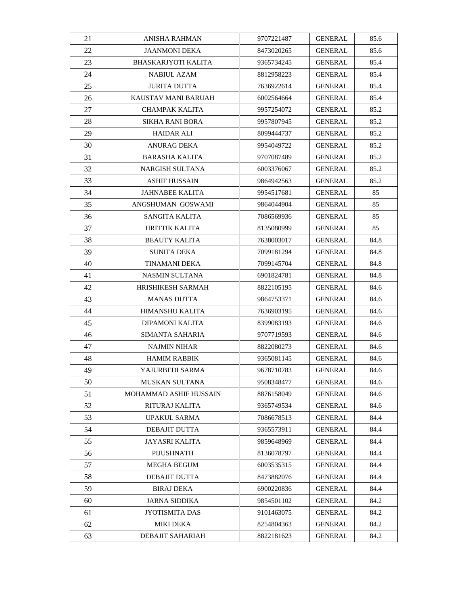| 21 | <b>ANISHA RAHMAN</b>       | 9707221487 | <b>GENERAL</b> | 85.6 |
|----|----------------------------|------------|----------------|------|
| 22 | JAANMONI DEKA              | 8473020265 | <b>GENERAL</b> | 85.6 |
| 23 | <b>BHASKARJYOTI KALITA</b> | 9365734245 | <b>GENERAL</b> | 85.4 |
| 24 | <b>NABIUL AZAM</b>         | 8812958223 | <b>GENERAL</b> | 85.4 |
| 25 | <b>JURITA DUTTA</b>        | 7636922614 | <b>GENERAL</b> | 85.4 |
| 26 | KAUSTAV MANI BARUAH        | 6002564664 | <b>GENERAL</b> | 85.4 |
| 27 | CHAMPAK KALITA             | 9957254072 | <b>GENERAL</b> | 85.2 |
| 28 | SIKHA RANI BORA            | 9957807945 | <b>GENERAL</b> | 85.2 |
| 29 | <b>HAIDAR ALI</b>          | 8099444737 | <b>GENERAL</b> | 85.2 |
| 30 | ANURAG DEKA                | 9954049722 | GENERAL        | 85.2 |
| 31 | BARASHA KALITA             | 9707087489 | <b>GENERAL</b> | 85.2 |
| 32 | NARGISH SULTANA            | 6003376067 | <b>GENERAL</b> | 85.2 |
| 33 | ASHIF HUSSAIN              | 9864942563 | GENERAL        | 85.2 |
| 34 | JAHNABEE KALITA            | 9954517681 | GENERAL        | 85   |
| 35 | ANGSHUMAN GOSWAMI          | 9864044904 | <b>GENERAL</b> | 85   |
| 36 | SANGITA KALITA             | 7086569936 | <b>GENERAL</b> | 85   |
| 37 | HRITTIK KALITA             | 8135080999 | <b>GENERAL</b> | 85   |
| 38 | <b>BEAUTY KALITA</b>       | 7638003017 | <b>GENERAL</b> | 84.8 |
| 39 | <b>SUNITA DEKA</b>         | 7099181294 | <b>GENERAL</b> | 84.8 |
| 40 | <b>TINAMANI DEKA</b>       | 7099145704 | GENERAL        | 84.8 |
| 41 | NASMIN SULTANA             | 6901824781 | GENERAL        | 84.8 |
| 42 | HRISHIKESH SARMAH          | 8822105195 | <b>GENERAL</b> | 84.6 |
| 43 | <b>MANAS DUTTA</b>         | 9864753371 | <b>GENERAL</b> | 84.6 |
| 44 | HIMANSHU KALITA            | 7636903195 | <b>GENERAL</b> | 84.6 |
| 45 | DIPAMONI KALITA            | 8399083193 | GENERAL        | 84.6 |
| 46 | <b>SIMANTA SAHARIA</b>     | 9707719593 | <b>GENERAL</b> | 84.6 |
| 47 | <b>NAJMIN NIHAR</b>        | 8822080273 | <b>GENERAL</b> | 84.6 |
| 48 | <b>HAMIM RABBIK</b>        | 9365081145 | <b>GENERAL</b> | 84.6 |
| 49 | YAJURBEDI SARMA            | 9678710783 | <b>GENERAL</b> | 84.6 |
| 50 | <b>MUSKAN SULTANA</b>      | 9508348477 | <b>GENERAL</b> | 84.6 |
| 51 | MOHAMMAD ASHIF HUSSAIN     | 8876158049 | <b>GENERAL</b> | 84.6 |
| 52 | RITURAJ KALITA             | 9365749534 | <b>GENERAL</b> | 84.6 |
| 53 | <b>UPAKUL SARMA</b>        | 7086678513 | GENERAL        | 84.4 |
| 54 | DEBAJIT DUTTA              | 9365573911 | <b>GENERAL</b> | 84.4 |
| 55 | JAYASRI KALITA             | 9859648969 | <b>GENERAL</b> | 84.4 |
| 56 | PIJUSHNATH                 | 8136078797 | <b>GENERAL</b> | 84.4 |
| 57 | MEGHA BEGUM                | 6003535315 | <b>GENERAL</b> | 84.4 |
| 58 | DEBAJIT DUTTA              | 8473882076 | <b>GENERAL</b> | 84.4 |
| 59 | <b>BIRAJ DEKA</b>          | 6900220836 | <b>GENERAL</b> | 84.4 |
| 60 | JARNA SIDDIKA              | 9854501102 | <b>GENERAL</b> | 84.2 |
| 61 | JYOTISMITA DAS             | 9101463075 | <b>GENERAL</b> | 84.2 |
| 62 | MIKI DEKA                  | 8254804363 | <b>GENERAL</b> | 84.2 |
| 63 | DEBAJIT SAHARIAH           | 8822181623 | <b>GENERAL</b> | 84.2 |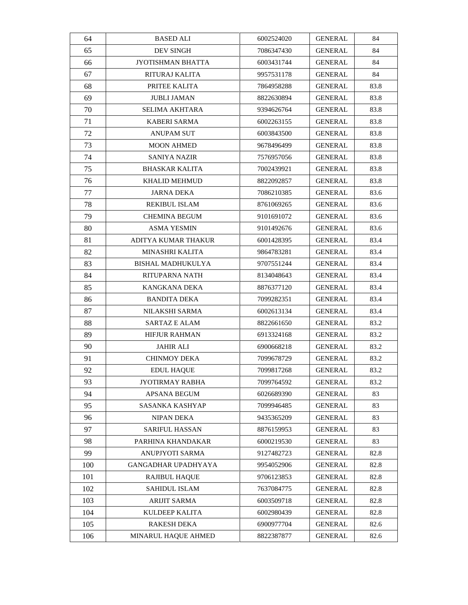| 64  | <b>BASED ALI</b>         | 6002524020 | <b>GENERAL</b> | 84   |
|-----|--------------------------|------------|----------------|------|
| 65  | DEV SINGH                | 7086347430 | <b>GENERAL</b> | 84   |
| 66  | JYOTISHMAN BHATTA        | 6003431744 | <b>GENERAL</b> | 84   |
| 67  | RITURAJ KALITA           | 9957531178 | <b>GENERAL</b> | 84   |
| 68  | PRITEE KALITA            | 7864958288 | <b>GENERAL</b> | 83.8 |
| 69  | <b>JUBLI JAMAN</b>       | 8822630894 | <b>GENERAL</b> | 83.8 |
| 70  | SELIMA AKHTARA           | 9394626764 | <b>GENERAL</b> | 83.8 |
| 71  | KABERI SARMA             | 6002263155 | <b>GENERAL</b> | 83.8 |
| 72  | <b>ANUPAM SUT</b>        | 6003843500 | <b>GENERAL</b> | 83.8 |
| 73  | <b>MOON AHMED</b>        | 9678496499 | <b>GENERAL</b> | 83.8 |
| 74  | SANIYA NAZIR             | 7576957056 | <b>GENERAL</b> | 83.8 |
| 75  | <b>BHASKAR KALITA</b>    | 7002439921 | <b>GENERAL</b> | 83.8 |
| 76  | KHALID MEHMUD            | 8822092857 | GENERAL        | 83.8 |
| 77  | JARNA DEKA               | 7086210385 | GENERAL        | 83.6 |
| 78  | <b>REKIBUL ISLAM</b>     | 8761069265 | <b>GENERAL</b> | 83.6 |
| 79  | <b>CHEMINA BEGUM</b>     | 9101691072 | <b>GENERAL</b> | 83.6 |
| 80  | <b>ASMA YESMIN</b>       | 9101492676 | <b>GENERAL</b> | 83.6 |
| 81  | ADITYA KUMAR THAKUR      | 6001428395 | <b>GENERAL</b> | 83.4 |
| 82  | MINASHRI KALITA          | 9864783281 | <b>GENERAL</b> | 83.4 |
| 83  | <b>BISHAL MADHUKULYA</b> | 9707551244 | <b>GENERAL</b> | 83.4 |
| 84  | RITUPARNA NATH           | 8134048643 | <b>GENERAL</b> | 83.4 |
| 85  | KANGKANA DEKA            | 8876377120 | <b>GENERAL</b> | 83.4 |
| 86  | <b>BANDITA DEKA</b>      | 7099282351 | <b>GENERAL</b> | 83.4 |
| 87  | NILAKSHI SARMA           | 6002613134 | <b>GENERAL</b> | 83.4 |
| 88  | SARTAZ E ALAM            | 8822661650 | GENERAL        | 83.2 |
| 89  | <b>HIFJUR RAHMAN</b>     | 6913324168 | <b>GENERAL</b> | 83.2 |
| 90  | <b>JAHIR ALI</b>         | 6900668218 | <b>GENERAL</b> | 83.2 |
| 91  | <b>CHINMOY DEKA</b>      | 7099678729 | <b>GENERAL</b> | 83.2 |
| 92  | <b>EDUL HAOUE</b>        | 7099817268 | <b>GENERAL</b> | 83.2 |
| 93  | <b>JYOTIRMAY RABHA</b>   | 7099764592 | <b>GENERAL</b> | 83.2 |
| 94  | APSANA BEGUM             | 6026689390 | <b>GENERAL</b> | 83   |
| 95  | SASANKA KASHYAP          | 7099946485 | <b>GENERAL</b> | 83   |
| 96  | NIPAN DEKA               | 9435365209 | <b>GENERAL</b> | 83   |
| 97  | SARIFUL HASSAN           | 8876159953 | <b>GENERAL</b> | 83   |
| 98  | PARHINA KHANDAKAR        | 6000219530 | <b>GENERAL</b> | 83   |
| 99  | ANUPJYOTI SARMA          | 9127482723 | <b>GENERAL</b> | 82.8 |
| 100 | GANGADHAR UPADHYAYA      | 9954052906 | <b>GENERAL</b> | 82.8 |
| 101 | <b>RAJIBUL HAQUE</b>     | 9706123853 | <b>GENERAL</b> | 82.8 |
| 102 | <b>SAHIDUL ISLAM</b>     | 7637084775 | <b>GENERAL</b> | 82.8 |
| 103 | ARIJIT SARMA             | 6003509718 | <b>GENERAL</b> | 82.8 |
| 104 | KULDEEP KALITA           | 6002980439 | <b>GENERAL</b> | 82.8 |
| 105 | RAKESH DEKA              | 6900977704 | <b>GENERAL</b> | 82.6 |
| 106 | MINARUL HAQUE AHMED      | 8822387877 | <b>GENERAL</b> | 82.6 |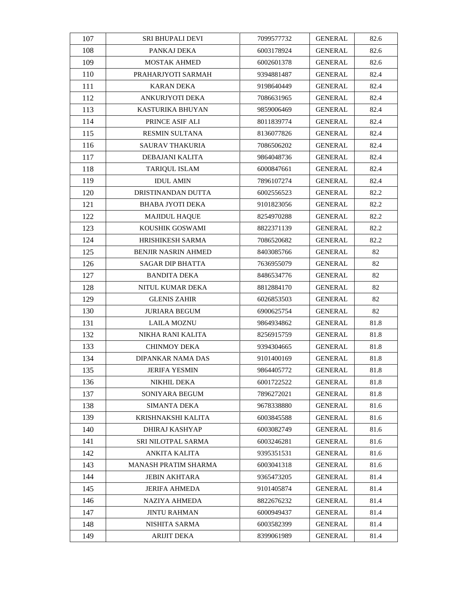| 107 | <b>SRI BHUPALI DEVI</b>   | 7099577732 | <b>GENERAL</b> | 82.6 |
|-----|---------------------------|------------|----------------|------|
| 108 | PANKAJ DEKA               | 6003178924 | <b>GENERAL</b> | 82.6 |
| 109 | <b>MOSTAK AHMED</b>       | 6002601378 | <b>GENERAL</b> | 82.6 |
| 110 | PRAHARJYOTI SARMAH        | 9394881487 | <b>GENERAL</b> | 82.4 |
| 111 | <b>KARAN DEKA</b>         | 9198640449 | <b>GENERAL</b> | 82.4 |
| 112 | ANKURJYOTI DEKA           | 7086631965 | <b>GENERAL</b> | 82.4 |
| 113 | KASTURIKA BHUYAN          | 9859006469 | <b>GENERAL</b> | 82.4 |
| 114 | PRINCE ASIF ALI           | 8011839774 | <b>GENERAL</b> | 82.4 |
| 115 | <b>RESMIN SULTANA</b>     | 8136077826 | <b>GENERAL</b> | 82.4 |
| 116 | <b>SAURAV THAKURIA</b>    | 7086506202 | <b>GENERAL</b> | 82.4 |
| 117 | DEBAJANI KALITA           | 9864048736 | <b>GENERAL</b> | 82.4 |
| 118 | <b>TARIQUL ISLAM</b>      | 6000847661 | <b>GENERAL</b> | 82.4 |
| 119 | <b>IDUL AMIN</b>          | 7896107274 | <b>GENERAL</b> | 82.4 |
| 120 | DRISTINANDAN DUTTA        | 6002556523 | GENERAL        | 82.2 |
| 121 | <b>BHABA JYOTI DEKA</b>   | 9101823056 | <b>GENERAL</b> | 82.2 |
| 122 | <b>MAJIDUL HAQUE</b>      | 8254970288 | <b>GENERAL</b> | 82.2 |
| 123 | KOUSHIK GOSWAMI           | 8822371139 | <b>GENERAL</b> | 82.2 |
| 124 | HRISHIKESH SARMA          | 7086520682 | <b>GENERAL</b> | 82.2 |
| 125 | BENJIR NASRIN AHMED       | 8403085766 | <b>GENERAL</b> | 82   |
| 126 | <b>SAGAR DIP BHATTA</b>   | 7636955079 | <b>GENERAL</b> | 82   |
| 127 | <b>BANDITA DEKA</b>       | 8486534776 | GENERAL        | 82   |
| 128 | NITUL KUMAR DEKA          | 8812884170 | <b>GENERAL</b> | 82   |
| 129 | <b>GLENIS ZAHIR</b>       | 6026853503 | <b>GENERAL</b> | 82   |
| 130 | <b>JURIARA BEGUM</b>      | 6900625754 | <b>GENERAL</b> | 82   |
| 131 | LAILA MOZNU               | 9864934862 | <b>GENERAL</b> | 81.8 |
| 132 | NIKHA RANI KALITA         | 8256915759 | <b>GENERAL</b> | 81.8 |
| 133 | <b>CHINMOY DEKA</b>       | 9394304665 | <b>GENERAL</b> | 81.8 |
| 134 | DIPANKAR NAMA DAS         | 9101400169 | <b>GENERAL</b> | 81.8 |
| 135 | JERIFA YESMIN             | 9864405772 | <b>GENERAL</b> | 81.8 |
| 136 | <b>NIKHIL DEKA</b>        | 6001722522 | <b>GENERAL</b> | 81.8 |
| 137 | SONIYARA BEGUM            | 7896272021 | <b>GENERAL</b> | 81.8 |
| 138 | <b>SIMANTA DEKA</b>       | 9678338880 | <b>GENERAL</b> | 81.6 |
| 139 | KRISHNAKSHI KALITA        | 6003845588 | GENERAL        | 81.6 |
| 140 | DHIRAJ KASHYAP            | 6003082749 | <b>GENERAL</b> | 81.6 |
| 141 | <b>SRI NILOTPAL SARMA</b> | 6003246281 | <b>GENERAL</b> | 81.6 |
| 142 | ANKITA KALITA             | 9395351531 | <b>GENERAL</b> | 81.6 |
| 143 | MANASH PRATIM SHARMA      | 6003041318 | <b>GENERAL</b> | 81.6 |
| 144 | <b>JEBIN AKHTARA</b>      | 9365473205 | <b>GENERAL</b> | 81.4 |
| 145 | <b>JERIFA AHMEDA</b>      | 9101405874 | <b>GENERAL</b> | 81.4 |
| 146 | NAZIYA AHMEDA             | 8822676232 | <b>GENERAL</b> | 81.4 |
| 147 | <b>JINTU RAHMAN</b>       | 6000949437 | <b>GENERAL</b> | 81.4 |
| 148 | NISHITA SARMA             | 6003582399 | <b>GENERAL</b> | 81.4 |
| 149 | ARIJIT DEKA               | 8399061989 | <b>GENERAL</b> | 81.4 |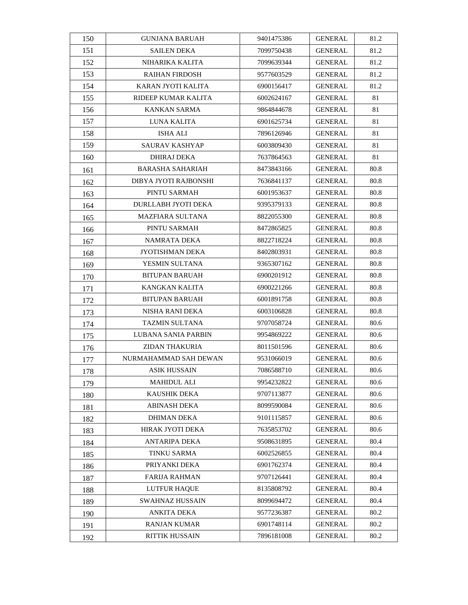| 150 | <b>GUNJANA BARUAH</b>   | 9401475386 | <b>GENERAL</b> | 81.2 |
|-----|-------------------------|------------|----------------|------|
| 151 | <b>SAILEN DEKA</b>      | 7099750438 | <b>GENERAL</b> | 81.2 |
| 152 | NIHARIKA KALITA         | 7099639344 | <b>GENERAL</b> | 81.2 |
| 153 | <b>RAIHAN FIRDOSH</b>   | 9577603529 | <b>GENERAL</b> | 81.2 |
| 154 | KARAN JYOTI KALITA      | 6900156417 | <b>GENERAL</b> | 81.2 |
| 155 | RIDEEP KUMAR KALITA     | 6002624167 | <b>GENERAL</b> | 81   |
| 156 | KANKAN SARMA            | 9864844678 | <b>GENERAL</b> | 81   |
| 157 | LUNA KALITA             | 6901625734 | <b>GENERAL</b> | 81   |
| 158 | ISHA ALI                | 7896126946 | <b>GENERAL</b> | 81   |
| 159 | SAURAV KASHYAP          | 6003809430 | GENERAL        | 81   |
| 160 | DHIRAJ DEKA             | 7637864563 | <b>GENERAL</b> | 81   |
| 161 | <b>BARASHA SAHARIAH</b> | 8473843166 | <b>GENERAL</b> | 80.8 |
| 162 | DIBYA JYOTI RAJBONSHI   | 7636841137 | GENERAL        | 80.8 |
| 163 | PINTU SARMAH            | 6001953637 | GENERAL        | 80.8 |
| 164 | DURLLABH JYOTI DEKA     | 9395379133 | <b>GENERAL</b> | 80.8 |
| 165 | <b>MAZFIARA SULTANA</b> | 8822055300 | <b>GENERAL</b> | 80.8 |
| 166 | PINTU SARMAH            | 8472865825 | <b>GENERAL</b> | 80.8 |
| 167 | <b>NAMRATA DEKA</b>     | 8822718224 | <b>GENERAL</b> | 80.8 |
| 168 | JYOTISHMAN DEKA         | 8402803931 | <b>GENERAL</b> | 80.8 |
| 169 | YESMIN SULTANA          | 9365307162 | <b>GENERAL</b> | 80.8 |
| 170 | <b>BITUPAN BARUAH</b>   | 6900201912 | GENERAL        | 80.8 |
| 171 | <b>KANGKAN KALITA</b>   | 6900221266 | GENERAL        | 80.8 |
| 172 | <b>BITUPAN BARUAH</b>   | 6001891758 | <b>GENERAL</b> | 80.8 |
| 173 | NISHA RANI DEKA         | 6003106828 | <b>GENERAL</b> | 80.8 |
| 174 | TAZMIN SULTANA          | 9707058724 | GENERAL        | 80.6 |
| 175 | LUBANA SANIA PARBIN     | 9954869222 | <b>GENERAL</b> | 80.6 |
| 176 | <b>ZIDAN THAKURIA</b>   | 8011501596 | <b>GENERAL</b> | 80.6 |
| 177 | NURMAHAMMAD SAH DEWAN   | 9531066019 | <b>GENERAL</b> | 80.6 |
| 178 | ASIK HUSSAIN            | 7086588710 | <b>GENERAL</b> | 80.6 |
| 179 | <b>MAHIDUL ALI</b>      | 9954232822 | <b>GENERAL</b> | 80.6 |
| 180 | <b>KAUSHIK DEKA</b>     | 9707113877 | <b>GENERAL</b> | 80.6 |
| 181 | <b>ABINASH DEKA</b>     | 8099590084 | <b>GENERAL</b> | 80.6 |
| 182 | DHIMAN DEKA             | 9101115857 | <b>GENERAL</b> | 80.6 |
| 183 | HIRAK JYOTI DEKA        | 7635853702 | <b>GENERAL</b> | 80.6 |
| 184 | ANTARIPA DEKA           | 9508631895 | <b>GENERAL</b> | 80.4 |
| 185 | <b>TINKU SARMA</b>      | 6002526855 | <b>GENERAL</b> | 80.4 |
| 186 | PRIYANKI DEKA           | 6901762374 | <b>GENERAL</b> | 80.4 |
| 187 | <b>FARIJA RAHMAN</b>    | 9707126441 | <b>GENERAL</b> | 80.4 |
| 188 | LUTFUR HAQUE            | 8135808792 | <b>GENERAL</b> | 80.4 |
| 189 | SWAHNAZ HUSSAIN         | 8099694472 | <b>GENERAL</b> | 80.4 |
| 190 | ANKITA DEKA             | 9577236387 | <b>GENERAL</b> | 80.2 |
| 191 | RANJAN KUMAR            | 6901748114 | <b>GENERAL</b> | 80.2 |
| 192 | <b>RITTIK HUSSAIN</b>   | 7896181008 | <b>GENERAL</b> | 80.2 |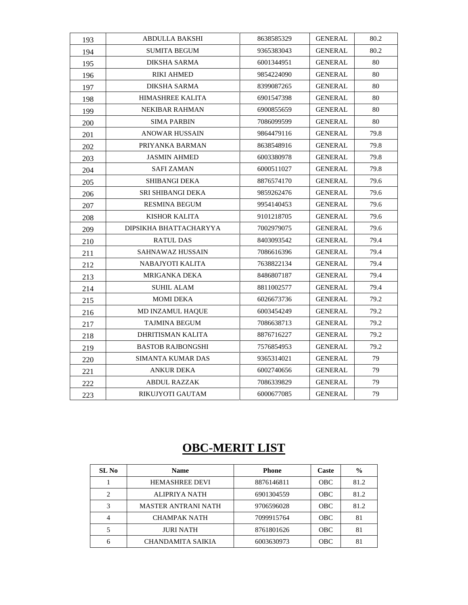| 193 | ABDULLA BAKSHI           | 8638585329 | <b>GENERAL</b> | 80.2 |
|-----|--------------------------|------------|----------------|------|
| 194 | <b>SUMITA BEGUM</b>      | 9365383043 | <b>GENERAL</b> | 80.2 |
| 195 | <b>DIKSHA SARMA</b>      | 6001344951 | <b>GENERAL</b> | 80   |
| 196 | <b>RIKI AHMED</b>        | 9854224090 | <b>GENERAL</b> | 80   |
| 197 | <b>DIKSHA SARMA</b>      | 8399087265 | <b>GENERAL</b> | 80   |
| 198 | HIMASHREE KALITA         | 6901547398 | <b>GENERAL</b> | 80   |
| 199 | NEKIBAR RAHMAN           | 6900855659 | <b>GENERAL</b> | 80   |
| 200 | <b>SIMA PARBIN</b>       | 7086099599 | <b>GENERAL</b> | 80   |
| 201 | <b>ANOWAR HUSSAIN</b>    | 9864479116 | <b>GENERAL</b> | 79.8 |
| 202 | PRIYANKA BARMAN          | 8638548916 | <b>GENERAL</b> | 79.8 |
| 203 | <b>JASMIN AHMED</b>      | 6003380978 | <b>GENERAL</b> | 79.8 |
| 204 | <b>SAFI ZAMAN</b>        | 6000511027 | <b>GENERAL</b> | 79.8 |
| 205 | <b>SHIBANGI DEKA</b>     | 8876574170 | <b>GENERAL</b> | 79.6 |
| 206 | <b>SRI SHIBANGI DEKA</b> | 9859262476 | <b>GENERAL</b> | 79.6 |
| 207 | <b>RESMINA BEGUM</b>     | 9954140453 | <b>GENERAL</b> | 79.6 |
| 208 | <b>KISHOR KALITA</b>     | 9101218705 | <b>GENERAL</b> | 79.6 |
| 209 | DIPSIKHA BHATTACHARYYA   | 7002979075 | <b>GENERAL</b> | 79.6 |
| 210 | <b>RATUL DAS</b>         | 8403093542 | <b>GENERAL</b> | 79.4 |
| 211 | SAHNAWAZ HUSSAIN         | 7086616396 | <b>GENERAL</b> | 79.4 |
| 212 | NABAJYOTI KALITA         | 7638822134 | <b>GENERAL</b> | 79.4 |
| 213 | MRIGANKA DEKA            | 8486807187 | <b>GENERAL</b> | 79.4 |
| 214 | <b>SUHIL ALAM</b>        | 8811002577 | <b>GENERAL</b> | 79.4 |
| 215 | <b>MOMI DEKA</b>         | 6026673736 | <b>GENERAL</b> | 79.2 |
| 216 | <b>MD INZAMUL HAQUE</b>  | 6003454249 | <b>GENERAL</b> | 79.2 |
| 217 | <b>TAJMINA BEGUM</b>     | 7086638713 | <b>GENERAL</b> | 79.2 |
| 218 | DHRITISMAN KALITA        | 8876716227 | <b>GENERAL</b> | 79.2 |
| 219 | <b>BASTOB RAJBONGSHI</b> | 7576854953 | <b>GENERAL</b> | 79.2 |
| 220 | <b>SIMANTA KUMAR DAS</b> | 9365314021 | <b>GENERAL</b> | 79   |
| 221 | <b>ANKUR DEKA</b>        | 6002740656 | <b>GENERAL</b> | 79   |
| 222 | <b>ABDUL RAZZAK</b>      | 7086339829 | <b>GENERAL</b> | 79   |
| 223 | RIKUJYOTI GAUTAM         | 6000677085 | <b>GENERAL</b> | 79   |

# **OBC-MERIT LIST**

| SL No          | <b>Name</b>                | <b>Phone</b> | Caste      | $\frac{0}{0}$ |
|----------------|----------------------------|--------------|------------|---------------|
|                | <b>HEMASHREE DEVI</b>      | 8876146811   | <b>OBC</b> | 81.2          |
| 2              | ALIPRIYA NATH              | 6901304559   | <b>OBC</b> | 81.2          |
| 3              | <b>MASTER ANTRANI NATH</b> | 9706596028   | <b>OBC</b> | 81.2          |
| $\overline{4}$ | <b>CHAMPAK NATH</b>        | 7099915764   | <b>OBC</b> | 81            |
|                | <b>JURI NATH</b>           | 8761801626   | <b>OBC</b> | 81            |
| 6              | <b>CHANDAMITA SAIKIA</b>   | 6003630973   | <b>OBC</b> | 81            |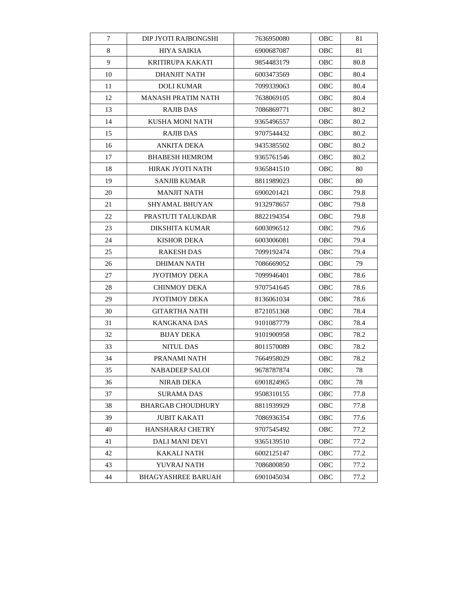| $\tau$ | DIP JYOTI RAJBONGSHI      | 7636950080 | OBC        | 81   |
|--------|---------------------------|------------|------------|------|
| 8      | <b>HIYA SAIKIA</b>        | 6900687087 | OBC        | 81   |
| 9      | KRITIRUPA KAKATI          | 9854483179 | <b>OBC</b> | 80.8 |
| 10     | DHANJIT NATH              | 6003473569 | OBC        | 80.4 |
| 11     | <b>DOLI KUMAR</b>         | 7099339063 | OBC        | 80.4 |
| 12     | <b>MANASH PRATIM NATH</b> | 7638069105 | OBC        | 80.4 |
| 13     | <b>RAJIB DAS</b>          | 7086869771 | <b>OBC</b> | 80.2 |
| 14     | <b>KUSHA MONI NATH</b>    | 9365496557 | <b>OBC</b> | 80.2 |
| 15     | <b>RAJIB DAS</b>          | 9707544432 | OBC        | 80.2 |
| 16     | ANKITA DEKA               | 9435385502 | <b>OBC</b> | 80.2 |
| 17     | <b>BHABESH HEMROM</b>     | 9365761546 | OBC        | 80.2 |
| 18     | HIRAK JYOTI NATH          | 9365841510 | <b>OBC</b> | 80   |
| 19     | <b>SANJIB KUMAR</b>       | 8811989023 | OBC        | 80   |
| 20     | <b>MANJIT NATH</b>        | 6900201421 | OBC        | 79.8 |
| 21     | SHYAMAL BHUYAN            | 9132978657 | <b>OBC</b> | 79.8 |
| 22     | PRASTUTI TALUKDAR         | 8822194354 | <b>OBC</b> | 79.8 |
| 23     | DIKSHITA KUMAR            | 6003096512 | <b>OBC</b> | 79.6 |
| 24     | <b>KISHOR DEKA</b>        | 6003006081 | OBC        | 79.4 |
| 25     | <b>RAKESH DAS</b>         | 7099192474 | OBC        | 79.4 |
| 26     | <b>DHIMAN NATH</b>        | 7086669052 | OBC        | 79   |
| 27     | JYOTIMOY DEKA             | 7099946401 | OBC        | 78.6 |
| 28     | <b>CHINMOY DEKA</b>       | 9707541645 | OBC        | 78.6 |
| 29     | <b>JYOTIMOY DEKA</b>      | 8136061034 | OBC        | 78.6 |
| 30     | GITARTHA NATH             | 8721051368 | OBC        | 78.4 |
| 31     | <b>KANGKANA DAS</b>       | 9101087779 | OBC        | 78.4 |
| 32     | <b>BIJAY DEKA</b>         | 9101900958 | OBC        | 78.2 |
| 33     | NITUL DAS                 | 8011570089 | <b>OBC</b> | 78.2 |
| 34     | PRANAMI NATH              | 7664958029 | <b>OBC</b> | 78.2 |
| 35     | <b>NABADEEP SALOI</b>     | 9678787874 | OBC        | 78   |
| 36     | <b>NIRAB DEKA</b>         | 6901824965 | <b>OBC</b> | 78   |
| 37     | <b>SURAMA DAS</b>         | 9508310155 | OBC        | 77.8 |
| 38     | <b>BHARGAB CHOUDHURY</b>  | 8811939929 | OBC        | 77.8 |
| 39     | <b>JUBIT KAKATI</b>       | 7086936354 | OBC        | 77.6 |
| 40     | <b>HANSHARAJ CHETRY</b>   | 9707545492 | OBC        | 77.2 |
| 41     | DALI MANI DEVI            | 9365139510 | OBC        | 77.2 |
| 42     | KAKALI NATH               | 6002125147 | <b>OBC</b> | 77.2 |
| 43     | YUVRAJ NATH               | 7086800850 | <b>OBC</b> | 77.2 |
| 44     | <b>BHAGYASHREE BARUAH</b> | 6901045034 | OBC        | 77.2 |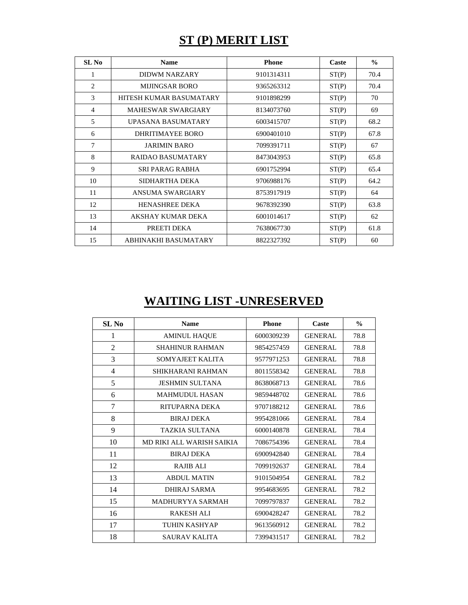## **ST (P) MERIT LIST**

| SL <sub>No</sub> | <b>Name</b>               | <b>Phone</b> | Caste | $\frac{0}{0}$ |
|------------------|---------------------------|--------------|-------|---------------|
| 1                | DIDWM NARZARY             | 9101314311   | ST(P) | 70.4          |
| 2                | MIJINGSAR BORO            | 9365263312   | ST(P) | 70.4          |
| 3                | HITESH KUMAR BASUMATARY   | 9101898299   | ST(P) | 70            |
| $\overline{4}$   | <b>MAHESWAR SWARGIARY</b> | 8134073760   | ST(P) | 69            |
| 5                | UPASANA BASUMATARY        | 6003415707   | ST(P) | 68.2          |
| 6                | DHRITIMAYEE BORO          | 6900401010   | ST(P) | 67.8          |
| 7                | <b>JARIMIN BARO</b>       | 7099391711   | ST(P) | 67            |
| 8                | RAIDAO BASUMATARY         | 8473043953   | ST(P) | 65.8          |
| 9                | SRI PARAG RABHA           | 6901752994   | ST(P) | 65.4          |
| 10               | SIDHARTHA DEKA            | 9706988176   | ST(P) | 64.2          |
| 11               | ANSUMA SWARGIARY          | 8753917919   | ST(P) | 64            |
| 12               | <b>HENASHREE DEKA</b>     | 9678392390   | ST(P) | 63.8          |
| 13               | AKSHAY KUMAR DEKA         | 6001014617   | ST(P) | 62            |
| 14               | PREETI DEKA               | 7638067730   | ST(P) | 61.8          |
| 15               | ABHINAKHI BASUMATARY      | 8822327392   | ST(P) | 60            |

## **WAITING LIST -UNRESERVED**

| SL <sub>No</sub> | <b>Name</b>               | <b>Phone</b> | Caste          | $\frac{0}{0}$ |
|------------------|---------------------------|--------------|----------------|---------------|
| 1                | <b>AMINUL HAQUE</b>       | 6000309239   | <b>GENERAL</b> | 78.8          |
| 2                | <b>SHAHINUR RAHMAN</b>    | 9854257459   | <b>GENERAL</b> | 78.8          |
| 3                | SOMYAJEET KALITA          | 9577971253   | <b>GENERAL</b> | 78.8          |
| 4                | SHIKHARANI RAHMAN         | 8011558342   | <b>GENERAL</b> | 78.8          |
| 5                | <b>JESHMIN SULTANA</b>    | 8638068713   | <b>GENERAL</b> | 78.6          |
| 6                | <b>MAHMUDUL HASAN</b>     | 9859448702   | <b>GENERAL</b> | 78.6          |
| 7                | RITUPARNA DEKA            | 9707188212   | <b>GENERAL</b> | 78.6          |
| 8                | <b>BIRAJ DEKA</b>         | 9954281066   | <b>GENERAL</b> | 78.4          |
| 9                | <b>TAZKIA SULTANA</b>     | 6000140878   | <b>GENERAL</b> | 78.4          |
| 10               | MD RIKI ALL WARISH SAIKIA | 7086754396   | <b>GENERAL</b> | 78.4          |
| 11               | <b>BIRAJ DEKA</b>         | 6900942840   | <b>GENERAL</b> | 78.4          |
| 12               | <b>RAJIB ALI</b>          | 7099192637   | <b>GENERAL</b> | 78.4          |
| 13               | <b>ABDUL MATIN</b>        | 9101504954   | <b>GENERAL</b> | 78.2          |
| 14               | <b>DHIRAJ SARMA</b>       | 9954683695   | <b>GENERAL</b> | 78.2          |
| 15               | MADHURYYA SARMAH          | 7099797837   | <b>GENERAL</b> | 78.2          |
| 16               | <b>RAKESH ALI</b>         | 6900428247   | <b>GENERAL</b> | 78.2          |
| 17               | <b>TUHIN KASHYAP</b>      | 9613560912   | <b>GENERAL</b> | 78.2          |
| 18               | <b>SAURAV KALITA</b>      | 7399431517   | <b>GENERAL</b> | 78.2          |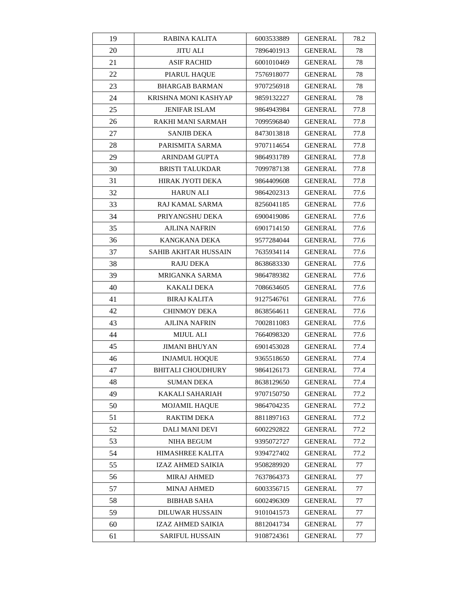| 19 | <b>RABINA KALITA</b>     | 6003533889 | <b>GENERAL</b> | 78.2 |
|----|--------------------------|------------|----------------|------|
| 20 | <b>JITU ALI</b>          | 7896401913 | <b>GENERAL</b> | 78   |
| 21 | <b>ASIF RACHID</b>       | 6001010469 | <b>GENERAL</b> | 78   |
| 22 | PIARUL HAQUE             | 7576918077 | GENERAL        | 78   |
| 23 | <b>BHARGAB BARMAN</b>    | 9707256918 | GENERAL        | 78   |
| 24 | KRISHNA MONI KASHYAP     | 9859132227 | <b>GENERAL</b> | 78   |
| 25 | <b>JENIFAR ISLAM</b>     | 9864943984 | <b>GENERAL</b> | 77.8 |
| 26 | RAKHI MANI SARMAH        | 7099596840 | <b>GENERAL</b> | 77.8 |
| 27 | <b>SANJIB DEKA</b>       | 8473013818 | <b>GENERAL</b> | 77.8 |
| 28 | PARISMITA SARMA          | 9707114654 | <b>GENERAL</b> | 77.8 |
| 29 | ARINDAM GUPTA            | 9864931789 | GENERAL        | 77.8 |
| 30 | <b>BRISTI TALUKDAR</b>   | 7099787138 | <b>GENERAL</b> | 77.8 |
| 31 | HIRAK JYOTI DEKA         | 9864409608 | <b>GENERAL</b> | 77.8 |
| 32 | <b>HARUN ALI</b>         | 9864202313 | <b>GENERAL</b> | 77.6 |
| 33 | RAJ KAMAL SARMA          | 8256041185 | <b>GENERAL</b> | 77.6 |
| 34 | PRIYANGSHU DEKA          | 6900419086 | GENERAL        | 77.6 |
| 35 | AJLINA NAFRIN            | 6901714150 | <b>GENERAL</b> | 77.6 |
| 36 | KANGKANA DEKA            | 9577284044 | GENERAL        | 77.6 |
| 37 | SAHIB AKHTAR HUSSAIN     | 7635934114 | <b>GENERAL</b> | 77.6 |
| 38 | RAJU DEKA                | 8638683330 | <b>GENERAL</b> | 77.6 |
| 39 | MRIGANKA SARMA           | 9864789382 | GENERAL        | 77.6 |
| 40 | KAKALI DEKA              | 7086634605 | <b>GENERAL</b> | 77.6 |
| 41 | <b>BIRAJ KALITA</b>      | 9127546761 | GENERAL        | 77.6 |
| 42 | CHINMOY DEKA             | 8638564611 | <b>GENERAL</b> | 77.6 |
| 43 | AJLINA NAFRIN            | 7002811083 | <b>GENERAL</b> | 77.6 |
| 44 | <b>MIJUL ALI</b>         | 7664098320 | <b>GENERAL</b> | 77.6 |
| 45 | <b>JIMANI BHUYAN</b>     | 6901453028 | <b>GENERAL</b> | 77.4 |
| 46 | <b>INJAMUL HOQUE</b>     | 9365518650 | GENERAL        | 77.4 |
| 47 | <b>BHITALI CHOUDHURY</b> | 9864126173 | <b>GENERAL</b> | 77.4 |
| 48 | <b>SUMAN DEKA</b>        | 8638129650 | <b>GENERAL</b> | 77.4 |
| 49 | KAKALI SAHARIAH          | 9707150750 | <b>GENERAL</b> | 77.2 |
| 50 | <b>MOJAMIL HAQUE</b>     | 9864704235 | GENERAL        | 77.2 |
| 51 | RAKTIM DEKA              | 8811897163 | <b>GENERAL</b> | 77.2 |
| 52 | DALI MANI DEVI           | 6002292822 | GENERAL        | 77.2 |
| 53 | NIHA BEGUM               | 9395072727 | <b>GENERAL</b> | 77.2 |
| 54 | HIMASHREE KALITA         | 9394727402 | <b>GENERAL</b> | 77.2 |
| 55 | IZAZ AHMED SAIKIA        | 9508289920 | <b>GENERAL</b> | 77   |
| 56 | <b>MIRAJ AHMED</b>       | 7637864373 | <b>GENERAL</b> | 77   |
| 57 | <b>MINAJ AHMED</b>       | 6003356715 | GENERAL        | 77   |
| 58 | <b>BIBHAB SAHA</b>       | 6002496309 | GENERAL        | 77   |
| 59 | <b>DILUWAR HUSSAIN</b>   | 9101041573 | <b>GENERAL</b> | 77   |
| 60 | IZAZ AHMED SAIKIA        | 8812041734 | GENERAL        | 77   |
| 61 | <b>SARIFUL HUSSAIN</b>   | 9108724361 | <b>GENERAL</b> | 77   |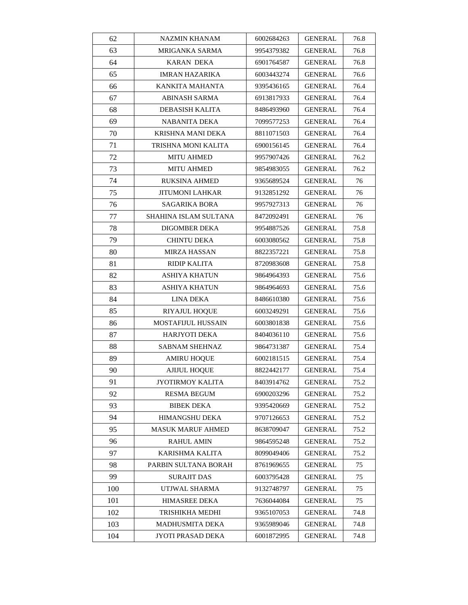| 62  | NAZMIN KHANAM             | 6002684263 | <b>GENERAL</b> | 76.8 |
|-----|---------------------------|------------|----------------|------|
| 63  | MRIGANKA SARMA            | 9954379382 | GENERAL        | 76.8 |
| 64  | KARAN DEKA                | 6901764587 | <b>GENERAL</b> | 76.8 |
| 65  | <b>IMRAN HAZARIKA</b>     | 6003443274 | GENERAL        | 76.6 |
| 66  | KANKITA MAHANTA           | 9395436165 | GENERAL        | 76.4 |
| 67  | ABINASH SARMA             | 6913817933 | <b>GENERAL</b> | 76.4 |
| 68  | DEBASISH KALITA           | 8486493960 | GENERAL        | 76.4 |
| 69  | NABANITA DEKA             | 7099577253 | <b>GENERAL</b> | 76.4 |
| 70  | KRISHNA MANI DEKA         | 8811071503 | GENERAL        | 76.4 |
| 71  | TRISHNA MONI KALITA       | 6900156145 | GENERAL        | 76.4 |
| 72  | <b>MITU AHMED</b>         | 9957907426 | GENERAL        | 76.2 |
| 73  | <b>MITU AHMED</b>         | 9854983055 | GENERAL        | 76.2 |
| 74  | RUKSINA AHMED             | 9365689524 | GENERAL        | 76   |
| 75  | JITUMONI LAHKAR           | 9132851292 | GENERAL        | 76   |
| 76  | SAGARIKA BORA             | 9957927313 | <b>GENERAL</b> | 76   |
| 77  | SHAHINA ISLAM SULTANA     | 8472092491 | GENERAL        | 76   |
| 78  | DIGOMBER DEKA             | 9954887526 | GENERAL        | 75.8 |
| 79  | <b>CHINTU DEKA</b>        | 6003080562 | <b>GENERAL</b> | 75.8 |
| 80  | <b>MIRZA HASSAN</b>       | 8822357221 | <b>GENERAL</b> | 75.8 |
| 81  | <b>RIDIP KALITA</b>       | 8720983608 | <b>GENERAL</b> | 75.8 |
| 82  | ASHIYA KHATUN             | 9864964393 | GENERAL        | 75.6 |
| 83  | ASHIYA KHATUN             | 9864964693 | GENERAL        | 75.6 |
| 84  | LINA DEKA                 | 8486610380 | GENERAL        | 75.6 |
| 85  | <b>RIYAJUL HOQUE</b>      | 6003249291 | GENERAL        | 75.6 |
| 86  | <b>MOSTAFIJUL HUSSAIN</b> | 6003801838 | <b>GENERAL</b> | 75.6 |
| 87  | HARJYOTI DEKA             | 8404036110 | <b>GENERAL</b> | 75.6 |
| 88  | <b>SABNAM SHEHNAZ</b>     | 9864731387 | <b>GENERAL</b> | 75.4 |
| 89  | <b>AMIRU HOQUE</b>        | 6002181515 | GENERAL        | 75.4 |
| 90  | <b>AJIJUL HOOUE</b>       | 8822442177 | <b>GENERAL</b> | 75.4 |
| 91  | JYOTIRMOY KALITA          | 8403914762 | <b>GENERAL</b> | 75.2 |
| 92  | <b>RESMA BEGUM</b>        | 6900203296 | <b>GENERAL</b> | 75.2 |
| 93  | <b>BIBEK DEKA</b>         | 9395420669 | <b>GENERAL</b> | 75.2 |
| 94  | HIMANGSHU DEKA            | 9707126653 | GENERAL        | 75.2 |
| 95  | MASUK MARUF AHMED         | 8638709047 | <b>GENERAL</b> | 75.2 |
| 96  | RAHUL AMIN                | 9864595248 | GENERAL        | 75.2 |
| 97  | KARISHMA KALITA           | 8099049406 | GENERAL        | 75.2 |
| 98  | PARBIN SULTANA BORAH      | 8761969655 | <b>GENERAL</b> | 75   |
| 99  | SURAJIT DAS               | 6003795428 | GENERAL        | 75   |
| 100 | UTJWAL SHARMA             | 9132748797 | <b>GENERAL</b> | 75   |
| 101 | <b>HIMASREE DEKA</b>      | 7636044084 | GENERAL        | 75   |
| 102 | TRISHIKHA MEDHI           | 9365107053 | <b>GENERAL</b> | 74.8 |
| 103 | MADHUSMITA DEKA           | 9365989046 | <b>GENERAL</b> | 74.8 |
| 104 | JYOTI PRASAD DEKA         | 6001872995 | <b>GENERAL</b> | 74.8 |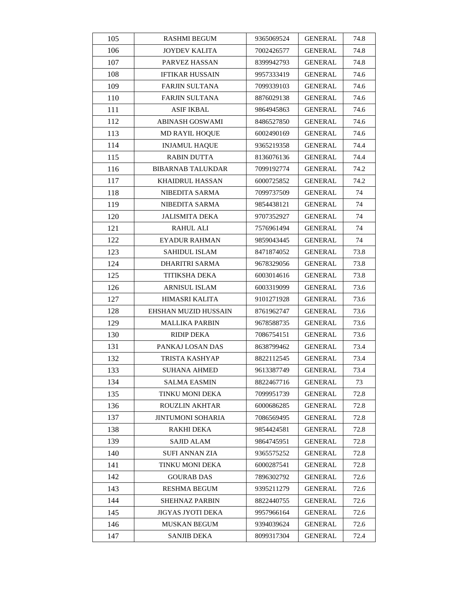| 105 | <b>RASHMI BEGUM</b>      | 9365069524 | <b>GENERAL</b> | 74.8 |
|-----|--------------------------|------------|----------------|------|
| 106 | <b>JOYDEV KALITA</b>     | 7002426577 | <b>GENERAL</b> | 74.8 |
| 107 | PARVEZ HASSAN            | 8399942793 | <b>GENERAL</b> | 74.8 |
| 108 | <b>IFTIKAR HUSSAIN</b>   | 9957333419 | GENERAL        | 74.6 |
| 109 | <b>FARJIN SULTANA</b>    | 7099339103 | <b>GENERAL</b> | 74.6 |
| 110 | <b>FARJIN SULTANA</b>    | 8876029138 | <b>GENERAL</b> | 74.6 |
| 111 | ASIF IKBAL               | 9864945863 | <b>GENERAL</b> | 74.6 |
| 112 | <b>ABINASH GOSWAMI</b>   | 8486527850 | <b>GENERAL</b> | 74.6 |
| 113 | <b>MD RAYIL HOQUE</b>    | 6002490169 | <b>GENERAL</b> | 74.6 |
| 114 | <b>INJAMUL HAQUE</b>     | 9365219358 | <b>GENERAL</b> | 74.4 |
| 115 | <b>RABIN DUTTA</b>       | 8136076136 | GENERAL        | 74.4 |
| 116 | <b>BIBARNAB TALUKDAR</b> | 7099192774 | <b>GENERAL</b> | 74.2 |
| 117 | <b>KHAIDRUL HASSAN</b>   | 6000725852 | <b>GENERAL</b> | 74.2 |
| 118 | NIBEDITA SARMA           | 7099737509 | GENERAL        | 74   |
| 119 | NIBEDITA SARMA           | 9854438121 | <b>GENERAL</b> | 74   |
| 120 | <b>JALISMITA DEKA</b>    | 9707352927 | GENERAL        | 74   |
| 121 | RAHUL ALI                | 7576961494 | GENERAL        | 74   |
| 122 | EYADUR RAHMAN            | 9859043445 | <b>GENERAL</b> | 74   |
| 123 | <b>SAHIDUL ISLAM</b>     | 8471874052 | <b>GENERAL</b> | 73.8 |
| 124 | <b>DHARITRI SARMA</b>    | 9678329056 | <b>GENERAL</b> | 73.8 |
| 125 | TITIKSHA DEKA            | 6003014616 | GENERAL        | 73.8 |
| 126 | <b>ARNISUL ISLAM</b>     | 6003319099 | <b>GENERAL</b> | 73.6 |
| 127 | HIMASRI KALITA           | 9101271928 | GENERAL        | 73.6 |
| 128 | EHSHAN MUZID HUSSAIN     | 8761962747 | <b>GENERAL</b> | 73.6 |
| 129 | <b>MALLIKA PARBIN</b>    | 9678588735 | <b>GENERAL</b> | 73.6 |
| 130 | <b>RIDIP DEKA</b>        | 7086754151 | <b>GENERAL</b> | 73.6 |
| 131 | PANKAJ LOSAN DAS         | 8638799462 | <b>GENERAL</b> | 73.4 |
| 132 | TRISTA KASHYAP           | 8822112545 | GENERAL        | 73.4 |
| 133 | <b>SUHANA AHMED</b>      | 9613387749 | <b>GENERAL</b> | 73.4 |
| 134 | SALMA EASMIN             | 8822467716 | <b>GENERAL</b> | 73   |
| 135 | TINKU MONI DEKA          | 7099951739 | <b>GENERAL</b> | 72.8 |
| 136 | <b>ROUZLIN AKHTAR</b>    | 6000686285 | <b>GENERAL</b> | 72.8 |
| 137 | JINTUMONI SOHARIA        | 7086569495 | <b>GENERAL</b> | 72.8 |
| 138 | RAKHI DEKA               | 9854424581 | <b>GENERAL</b> | 72.8 |
| 139 | <b>SAJID ALAM</b>        | 9864745951 | GENERAL        | 72.8 |
| 140 | SUFI ANNAN ZIA           | 9365575252 | GENERAL        | 72.8 |
| 141 | TINKU MONI DEKA          | 6000287541 | <b>GENERAL</b> | 72.8 |
| 142 | <b>GOURAB DAS</b>        | 7896302792 | <b>GENERAL</b> | 72.6 |
| 143 | RESHMA BEGUM             | 9395211279 | <b>GENERAL</b> | 72.6 |
| 144 | <b>SHEHNAZ PARBIN</b>    | 8822440755 | GENERAL        | 72.6 |
| 145 | JIGYAS JYOTI DEKA        | 9957966164 | <b>GENERAL</b> | 72.6 |
| 146 | <b>MUSKAN BEGUM</b>      | 9394039624 | GENERAL        | 72.6 |
| 147 | <b>SANJIB DEKA</b>       | 8099317304 | <b>GENERAL</b> | 72.4 |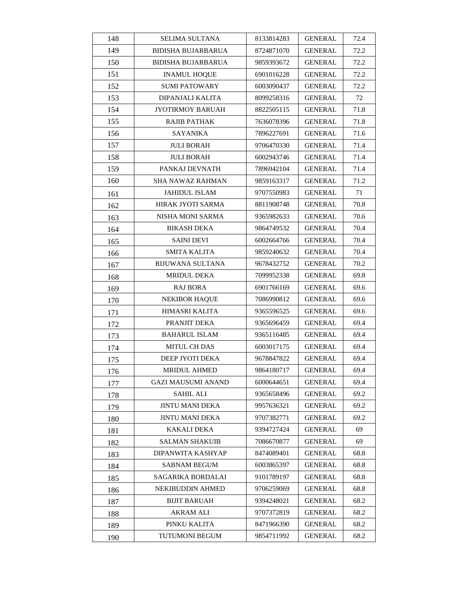| 148 | <b>SELIMA SULTANA</b>     | 8133814283 | <b>GENERAL</b> | 72.4 |
|-----|---------------------------|------------|----------------|------|
| 149 | <b>BIDISHA BUJARBARUA</b> | 8724871070 | <b>GENERAL</b> | 72.2 |
| 150 | <b>BIDISHA BUJARBARUA</b> | 9859393672 | <b>GENERAL</b> | 72.2 |
| 151 | <b>INAMUL HOOUE</b>       | 6901016228 | GENERAL        | 72.2 |
| 152 | <b>SUMI PATOWARY</b>      | 6003090437 | <b>GENERAL</b> | 72.2 |
| 153 | DIPANJALI KALITA          | 8099258316 | <b>GENERAL</b> | 72   |
| 154 | JYOTIRMOY BARUAH          | 8822505115 | GENERAL        | 71.8 |
| 155 | <b>RAJIB PATHAK</b>       | 7636078396 | <b>GENERAL</b> | 71.8 |
| 156 | <b>SAYANIKA</b>           | 7896227691 | <b>GENERAL</b> | 71.6 |
| 157 | <b>JULI BORAH</b>         | 9706470330 | GENERAL        | 71.4 |
| 158 | <b>JULI BORAH</b>         | 6002943746 | GENERAL        | 71.4 |
| 159 | PANKAJ DEVNATH            | 7896942104 | <b>GENERAL</b> | 71.4 |
| 160 | SHA NAWAZ RAHMAN          | 9859163317 | <b>GENERAL</b> | 71.2 |
| 161 | <b>JAHIDUL ISLAM</b>      | 9707550983 | <b>GENERAL</b> | 71   |
| 162 | HIRAK JYOTI SARMA         | 8811908748 | <b>GENERAL</b> | 70.8 |
| 163 | NISHA MONI SARMA          | 9365982633 | GENERAL        | 70.6 |
| 164 | <b>BIKASH DEKA</b>        | 9864749532 | GENERAL        | 70.4 |
| 165 | <b>SAINI DEVI</b>         | 6002664766 | <b>GENERAL</b> | 70.4 |
| 166 | SMITA KALITA              | 9859240632 | <b>GENERAL</b> | 70.4 |
| 167 | RIJUWANA SULTANA          | 9678432752 | <b>GENERAL</b> | 70.2 |
| 168 | <b>MRIDUL DEKA</b>        | 7099952338 | GENERAL        | 69.8 |
| 169 | RAJ BORA                  | 6901766169 | GENERAL        | 69.6 |
| 170 | <b>NEKIBOR HAQUE</b>      | 7086990812 | GENERAL        | 69.6 |
| 171 | HIMASRI KALITA            | 9365596525 | <b>GENERAL</b> | 69.6 |
| 172 | PRANJIT DEKA              | 9365696459 | <b>GENERAL</b> | 69.4 |
| 173 | <b>BAHARUL ISLAM</b>      | 9365116485 | <b>GENERAL</b> | 69.4 |
| 174 | <b>MITUL CH DAS</b>       | 6003017175 | <b>GENERAL</b> | 69.4 |
| 175 | DEEP JYOTI DEKA           | 9678847822 | GENERAL        | 69.4 |
| 176 | <b>MRIDUL AHMED</b>       | 9864180717 | <b>GENERAL</b> | 69.4 |
| 177 | <b>GAZI MAUSUMI ANAND</b> | 6000644651 | <b>GENERAL</b> | 69.4 |
| 178 | <b>SAHIL ALI</b>          | 9365658496 | <b>GENERAL</b> | 69.2 |
| 179 | <b>JINTU MANI DEKA</b>    | 9957636321 | <b>GENERAL</b> | 69.2 |
| 180 | JINTU MANI DEKA           | 9707382771 | GENERAL        | 69.2 |
| 181 | KAKALI DEKA               | 9394727424 | <b>GENERAL</b> | 69   |
| 182 | SALMAN SHAKUIB            | 7086670877 | GENERAL        | 69   |
| 183 | DIPANWITA KASHYAP         | 8474089401 | GENERAL        | 68.8 |
| 184 | <b>SABNAM BEGUM</b>       | 6003865397 | <b>GENERAL</b> | 68.8 |
| 185 | SAGARIKA BORDALAI         | 9101789197 | GENERAL        | 68.8 |
| 186 | NEKIBUDDIN AHMED          | 9706259069 | <b>GENERAL</b> | 68.8 |
| 187 | <b>BIJIT BARUAH</b>       | 9394248021 | GENERAL        | 68.2 |
| 188 | <b>AKRAM ALI</b>          | 9707372819 | <b>GENERAL</b> | 68.2 |
| 189 | PINKU KALITA              | 8471966390 | <b>GENERAL</b> | 68.2 |
| 190 | TUTUMONI BEGUM            | 9854711992 | <b>GENERAL</b> | 68.2 |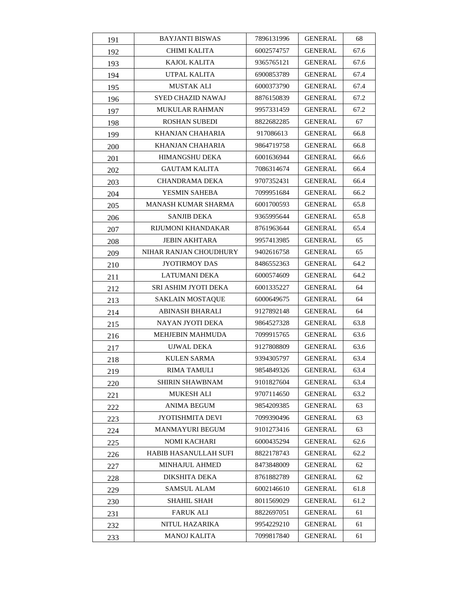| 191 | <b>BAYJANTI BISWAS</b>  | 7896131996 | <b>GENERAL</b> | 68   |
|-----|-------------------------|------------|----------------|------|
| 192 | <b>CHIMI KALITA</b>     | 6002574757 | <b>GENERAL</b> | 67.6 |
| 193 | <b>KAJOL KALITA</b>     | 9365765121 | <b>GENERAL</b> | 67.6 |
| 194 | UTPAL KALITA            | 6900853789 | <b>GENERAL</b> | 67.4 |
| 195 | <b>MUSTAK ALI</b>       | 6000373790 | GENERAL        | 67.4 |
| 196 | SYED CHAZID NAWAJ       | 8876150839 | <b>GENERAL</b> | 67.2 |
| 197 | <b>MUKULAR RAHMAN</b>   | 9957331459 | GENERAL        | 67.2 |
| 198 | <b>ROSHAN SUBEDI</b>    | 8822682285 | <b>GENERAL</b> | 67   |
| 199 | KHANJAN CHAHARIA        | 917086613  | <b>GENERAL</b> | 66.8 |
| 200 | KHANJAN CHAHARIA        | 9864719758 | GENERAL        | 66.8 |
| 201 | <b>HIMANGSHU DEKA</b>   | 6001636944 | GENERAL        | 66.6 |
| 202 | <b>GAUTAM KALITA</b>    | 7086314674 | <b>GENERAL</b> | 66.4 |
| 203 | <b>CHANDRAMA DEKA</b>   | 9707352431 | <b>GENERAL</b> | 66.4 |
| 204 | YESMIN SAHEBA           | 7099951684 | GENERAL        | 66.2 |
| 205 | MANASH KUMAR SHARMA     | 6001700593 | <b>GENERAL</b> | 65.8 |
| 206 | <b>SANJIB DEKA</b>      | 9365995644 | GENERAL        | 65.8 |
| 207 | RIJUMONI KHANDAKAR      | 8761963644 | GENERAL        | 65.4 |
| 208 | <b>JEBIN AKHTARA</b>    | 9957413985 | <b>GENERAL</b> | 65   |
| 209 | NIHAR RANJAN CHOUDHURY  | 9402616758 | <b>GENERAL</b> | 65   |
| 210 | <b>JYOTIRMOY DAS</b>    | 8486552363 | <b>GENERAL</b> | 64.2 |
| 211 | LATUMANI DEKA           | 6000574609 | GENERAL        | 64.2 |
| 212 | SRI ASHIM JYOTI DEKA    | 6001335227 | GENERAL        | 64   |
| 213 | <b>SAKLAIN MOSTAQUE</b> | 6000649675 | GENERAL        | 64   |
| 214 | ABINASH BHARALI         | 9127892148 | <b>GENERAL</b> | 64   |
| 215 | NAYAN JYOTI DEKA        | 9864527328 | <b>GENERAL</b> | 63.8 |
| 216 | MEHJEBIN MAHMUDA        | 7099915765 | <b>GENERAL</b> | 63.6 |
| 217 | <b>UJWAL DEKA</b>       | 9127808809 | <b>GENERAL</b> | 63.6 |
| 218 | KULEN SARMA             | 9394305797 | <b>GENERAL</b> | 63.4 |
| 219 | RIMA TAMULI             | 9854849326 | <b>GENERAL</b> | 63.4 |
| 220 | SHIRIN SHAWBNAM         | 9101827604 | <b>GENERAL</b> | 63.4 |
| 221 | <b>MUKESH ALI</b>       | 9707114650 | <b>GENERAL</b> | 63.2 |
| 222 | ANIMA BEGUM             | 9854209385 | <b>GENERAL</b> | 63   |
| 223 | <b>JYOTISHMITA DEVI</b> | 7099390496 | GENERAL        | 63   |
| 224 | <b>MANMAYURI BEGUM</b>  | 9101273416 | <b>GENERAL</b> | 63   |
| 225 | <b>NOMI KACHARI</b>     | 6000435294 | <b>GENERAL</b> | 62.6 |
| 226 | HABIB HASANULLAH SUFI   | 8822178743 | GENERAL        | 62.2 |
| 227 | <b>MINHAJUL AHMED</b>   | 8473848009 | GENERAL        | 62   |
| 228 | DIKSHITA DEKA           | 8761882789 | GENERAL        | 62   |
| 229 | SAMSUL ALAM             | 6002146610 | <b>GENERAL</b> | 61.8 |
| 230 | SHAHIL SHAH             | 8011569029 | GENERAL        | 61.2 |
| 231 | <b>FARUK ALI</b>        | 8822697051 | <b>GENERAL</b> | 61   |
| 232 | NITUL HAZARIKA          | 9954229210 | <b>GENERAL</b> | 61   |
| 233 | <b>MANOJ KALITA</b>     | 7099817840 | <b>GENERAL</b> | 61   |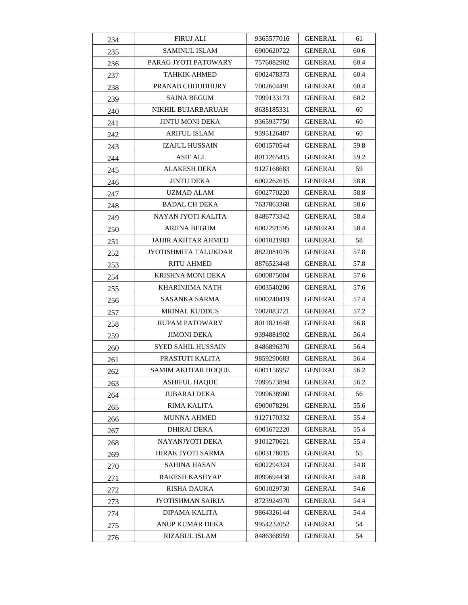| 234 | FIRUJ ALI                   | 9365577016 | <b>GENERAL</b> | 61   |
|-----|-----------------------------|------------|----------------|------|
| 235 | <b>SAMINUL ISLAM</b>        | 6900620722 | <b>GENERAL</b> | 60.6 |
| 236 | PARAG JYOTI PATOWARY        | 7576082902 | <b>GENERAL</b> | 60.4 |
| 237 | TAHKIK AHMED                | 6002478373 | GENERAL        | 60.4 |
| 238 | <b>PRANAB CHOUDHURY</b>     | 7002604491 | <b>GENERAL</b> | 60.4 |
| 239 | <b>SAINA BEGUM</b>          | 7099133173 | GENERAL        | 60.2 |
| 240 | NIKHIL BUJARBARUAH          | 8638185331 | <b>GENERAL</b> | 60   |
| 241 | <b>JINTU MONI DEKA</b>      | 9365937750 | <b>GENERAL</b> | 60   |
| 242 | <b>ARIFUL ISLAM</b>         | 9395126487 | <b>GENERAL</b> | 60   |
| 243 | <b>IZAJUL HUSSAIN</b>       | 6001570544 | <b>GENERAL</b> | 59.8 |
| 244 | ASIF ALI                    | 8011265415 | GENERAL        | 59.2 |
| 245 | <b>ALAKESH DEKA</b>         | 9127168683 | GENERAL        | 59   |
| 246 | <b>JINTU DEKA</b>           | 6002262615 | <b>GENERAL</b> | 58.8 |
| 247 | UZMAD ALAM                  | 6002770220 | GENERAL        | 58.8 |
| 248 | <b>BADAL CH DEKA</b>        | 7637863368 | <b>GENERAL</b> | 58.6 |
| 249 | NAYAN JYOTI KALITA          | 8486773342 | GENERAL        | 58.4 |
| 250 | ARJINA BEGUM                | 6002291595 | GENERAL        | 58.4 |
| 251 | <b>JAHIR AKHTAR AHMED</b>   | 6001021983 | GENERAL        | 58   |
| 252 | <b>JYOTISHMITA TALUKDAR</b> | 8822081076 | <b>GENERAL</b> | 57.8 |
| 253 | RITU AHMED                  | 8876523448 | <b>GENERAL</b> | 57.8 |
| 254 | KRISHNA MONI DEKA           | 6000875004 | GENERAL        | 57.6 |
| 255 | KHARINJIMA NATH             | 6003540206 | <b>GENERAL</b> | 57.6 |
| 256 | SASANKA SARMA               | 6000240419 | GENERAL        | 57.4 |
| 257 | <b>MRINAL KUDDUS</b>        | 7002083721 | GENERAL        | 57.2 |
| 258 | <b>RUPAM PATOWARY</b>       | 8011821648 | <b>GENERAL</b> | 56.8 |
| 259 | <b>JIMONI DEKA</b>          | 9394881902 | <b>GENERAL</b> | 56.4 |
| 260 | <b>SYED SAHIL HUSSAIN</b>   | 8486896370 | <b>GENERAL</b> | 56.4 |
| 261 | PRASTUTI KALITA             | 9859290683 | GENERAL        | 56.4 |
| 262 | <b>SAMIM AKHTAR HOQUE</b>   | 6001156957 | GENERAL        | 56.2 |
| 263 | <b>ASHIFUL HAOUE</b>        | 7099573894 | <b>GENERAL</b> | 56.2 |
| 264 | <b>JUBARAJ DEKA</b>         | 7099638960 | <b>GENERAL</b> | 56   |
| 265 | RIMA KALITA                 | 6900078291 | GENERAL        | 55.6 |
| 266 | <b>MUNNA AHMED</b>          | 9127170332 | <b>GENERAL</b> | 55.4 |
| 267 | <b>DHIRAJ DEKA</b>          | 6001672220 | <b>GENERAL</b> | 55.4 |
| 268 | NAYANJYOTI DEKA             | 9101270621 | <b>GENERAL</b> | 55.4 |
| 269 | <b>HIRAK JYOTI SARMA</b>    | 6003178015 | <b>GENERAL</b> | 55   |
| 270 | SAHINA HASAN                | 6002294324 | <b>GENERAL</b> | 54.8 |
| 271 | RAKESH KASHYAP              | 8099694438 | <b>GENERAL</b> | 54.8 |
| 272 | <b>RISHA DAUKA</b>          | 6001029730 | GENERAL        | 54.6 |
| 273 | JYOTISHMAN SAIKIA           | 8723924970 | GENERAL        | 54.4 |
| 274 | DIPAMA KALITA               | 9864326144 | <b>GENERAL</b> | 54.4 |
| 275 | ANUP KUMAR DEKA             | 9954232052 | GENERAL        | 54   |
| 276 | RIZABUL ISLAM               | 8486368959 | <b>GENERAL</b> | 54   |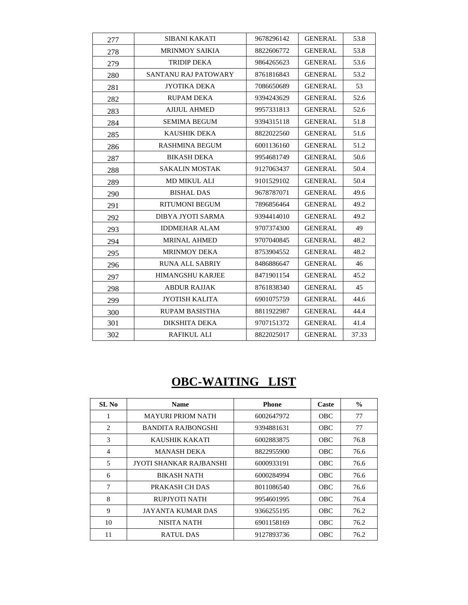| 277 | <b>SIBANI KAKATI</b>    | 9678296142 | <b>GENERAL</b> | 53.8  |
|-----|-------------------------|------------|----------------|-------|
| 278 | <b>MRINMOY SAIKIA</b>   | 8822606772 | <b>GENERAL</b> | 53.8  |
| 279 | <b>TRIDIP DEKA</b>      | 9864265623 | <b>GENERAL</b> | 53.6  |
| 280 | SANTANU RAJ PATOWARY    | 8761816843 | <b>GENERAL</b> | 53.2  |
| 281 | <b>JYOTIKA DEKA</b>     | 7086650689 | <b>GENERAL</b> | 53    |
| 282 | <b>RUPAM DEKA</b>       | 9394243629 | <b>GENERAL</b> | 52.6  |
| 283 | <b>AJIJUL AHMED</b>     | 9957331813 | <b>GENERAL</b> | 52.6  |
| 284 | <b>SEMIMA BEGUM</b>     | 9394315118 | <b>GENERAL</b> | 51.8  |
| 285 | <b>KAUSHIK DEKA</b>     | 8822022560 | <b>GENERAL</b> | 51.6  |
| 286 | <b>RASHMINA BEGUM</b>   | 6001136160 | <b>GENERAL</b> | 51.2  |
| 287 | <b>BIKASH DEKA</b>      | 9954681749 | <b>GENERAL</b> | 50.6  |
| 288 | <b>SAKALIN MOSTAK</b>   | 9127063437 | <b>GENERAL</b> | 50.4  |
| 289 | <b>MD MIKUL ALI</b>     | 9101529102 | <b>GENERAL</b> | 50.4  |
| 290 | <b>BISHAL DAS</b>       | 9678787071 | <b>GENERAL</b> | 49.6  |
| 291 | RITUMONI BEGUM          | 7896856464 | <b>GENERAL</b> | 49.2  |
| 292 | DIBYA JYOTI SARMA       | 9394414010 | <b>GENERAL</b> | 49.2  |
| 293 | <b>IDDMEHAR ALAM</b>    | 9707374300 | <b>GENERAL</b> | 49    |
| 294 | <b>MRINAL AHMED</b>     | 9707040845 | <b>GENERAL</b> | 48.2  |
| 295 | <b>MRINMOY DEKA</b>     | 8753904552 | <b>GENERAL</b> | 48.2  |
| 296 | <b>RUNA ALL SABRIY</b>  | 8486886647 | <b>GENERAL</b> | 46    |
| 297 | <b>HIMANGSHU KARJEE</b> | 8471901154 | <b>GENERAL</b> | 45.2  |
| 298 | <b>ABDUR RAJJAK</b>     | 8761838340 | <b>GENERAL</b> | 45    |
| 299 | <b>JYOTISH KALITA</b>   | 6901075759 | <b>GENERAL</b> | 44.6  |
| 300 | <b>RUPAM BASISTHA</b>   | 8811922987 | <b>GENERAL</b> | 44.4  |
| 301 | DIKSHITA DEKA           | 9707151372 | <b>GENERAL</b> | 41.4  |
| 302 | <b>RAFIKUL ALI</b>      | 8822025017 | <b>GENERAL</b> | 37.33 |

## **OBC-WAITING LIST**

| SL <sub>No</sub>            | <b>Name</b>              | <b>Phone</b> | Caste      | $\%$ |
|-----------------------------|--------------------------|--------------|------------|------|
| 1                           | <b>MAYURI PRIOM NATH</b> | 6002647972   | OBC        | 77   |
| $\mathcal{D}_{\mathcal{L}}$ | BANDITA RAJBONGSHI       | 9394881631   | OBC        | 77   |
| 3                           | KAUSHIK KAKATI           | 6002883875   | OBC        | 76.8 |
| $\overline{4}$              | MANASH DEKA              | 8822955900   | OBC        | 76.6 |
| 5                           | JYOTI SHANKAR RAJBANSHI  | 6000933191   | OBC        | 76.6 |
| 6                           | <b>BIKASH NATH</b>       | 6000284994   | <b>OBC</b> | 76.6 |
| $\overline{7}$              | PRAKASH CH DAS           | 8011086540   | <b>OBC</b> | 76.6 |
| 8                           | RUPJYOTI NATH            | 9954601995   | OBC        | 76.4 |
| 9                           | <b>JAYANTA KUMAR DAS</b> | 9366255195   | <b>OBC</b> | 76.2 |
| 10                          | NISITA NATH              | 6901158169   | <b>OBC</b> | 76.2 |
| 11                          | <b>RATUL DAS</b>         | 9127893736   | OBC        | 76.2 |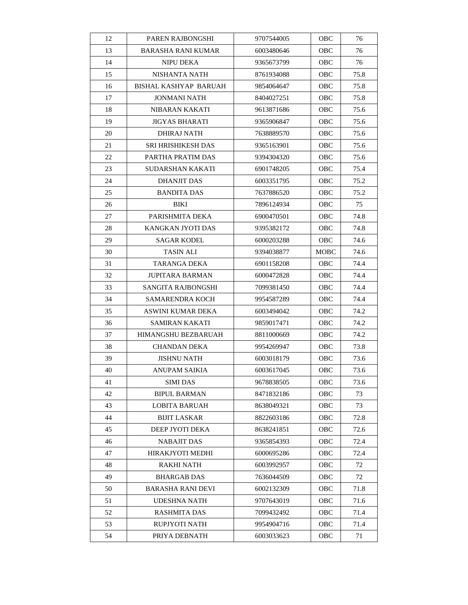| 12 | PAREN RAJBONGSHI             | 9707544005 | <b>OBC</b> | 76   |
|----|------------------------------|------------|------------|------|
| 13 | <b>BARASHA RANI KUMAR</b>    | 6003480646 | OBC        | 76   |
| 14 | <b>NIPU DEKA</b>             | 9365673799 | OBC        | 76   |
| 15 | NISHANTA NATH                | 8761934088 | OBC        | 75.8 |
| 16 | <b>BISHAL KASHYAP BARUAH</b> | 9854064647 | OBC        | 75.8 |
| 17 | JONMANI NATH                 | 8404027251 | OBC        | 75.8 |
| 18 | NIBARAN KAKATI               | 9613871686 | OBC        | 75.6 |
| 19 | JIGYAS BHARATI               | 9365906847 | <b>OBC</b> | 75.6 |
| 20 | DHIRAJ NATH                  | 7638889570 | OBC        | 75.6 |
| 21 | SRI HRISHIKESH DAS           | 9365163901 | OBC        | 75.6 |
| 22 | PARTHA PRATIM DAS            | 9394304320 | OBC        | 75.6 |
| 23 | SUDARSHAN KAKATI             | 6901748205 | OBC        | 75.4 |
| 24 | DHANJIT DAS                  | 6003351795 | OBC        | 75.2 |
| 25 | <b>BANDITA DAS</b>           | 7637886520 | OBC        | 75.2 |
| 26 | BIKI                         | 7896124934 | OBC        | 75   |
| 27 | PARISHMITA DEKA              | 6900470501 | OBC        | 74.8 |
| 28 | KANGKAN JYOTI DAS            | 9395382172 | OBC        | 74.8 |
| 29 | <b>SAGAR KODEL</b>           | 6000203288 | OBC        | 74.6 |
| 30 | <b>TASIN ALI</b>             | 9394038877 | MOBC       | 74.6 |
| 31 | TARANGA DEKA                 | 6901158208 | OBC        | 74.4 |
| 32 | <b>JUPITARA BARMAN</b>       | 6000472828 | OBC        | 74.4 |
| 33 | SANGITA RAJBONGSHI           | 7099381450 | OBC        | 74.4 |
| 34 | SAMARENDRA KOCH              | 9954587289 | OBC        | 74.4 |
| 35 | ASWINI KUMAR DEKA            | 6003494042 | OBC        | 74.2 |
| 36 | SAMIRAN KAKATI               | 9859017471 | OBC        | 74.2 |
| 37 | HIMANGSHU BEZBARUAH          | 8811000669 | <b>OBC</b> | 74.2 |
| 38 | <b>CHANDAN DEKA</b>          | 9954269947 | OBC        | 73.8 |
| 39 | <b>JISHNU NATH</b>           | 6003018179 | OBC        | 73.6 |
| 40 | ANUPAM SAIKIA                | 6003617045 | OBC        | 73.6 |
| 41 | <b>SIMI DAS</b>              | 9678838505 | OBC        | 73.6 |
| 42 | <b>BIPUL BARMAN</b>          | 8471832186 | OBC        | 73   |
| 43 | LOBITA BARUAH                | 8638049321 | OBC        | 73   |
| 44 | <b>BIJIT LASKAR</b>          | 8822603186 | <b>OBC</b> | 72.8 |
| 45 | DEEP JYOTI DEKA              | 8638241851 | OBC        | 72.6 |
| 46 | NABAJIT DAS                  | 9365854393 | OBC        | 72.4 |
| 47 | HIRAKJYOTI MEDHI             | 6000695286 | <b>OBC</b> | 72.4 |
| 48 | RAKHI NATH                   | 6003992957 | OBC        | 72   |
| 49 | <b>BHARGAB DAS</b>           | 7636044509 | OBC        | 72   |
| 50 | <b>BARASHA RANI DEVI</b>     | 6002132309 | OBC        | 71.8 |
| 51 | UDESHNA NATH                 | 9707643019 | OBC        | 71.6 |
| 52 | <b>RASHMITA DAS</b>          | 7099432492 | OBC        | 71.4 |
| 53 | RUPJYOTI NATH                | 9954904716 | OBC        | 71.4 |
| 54 | PRIYA DEBNATH                | 6003033623 | OBC        | 71   |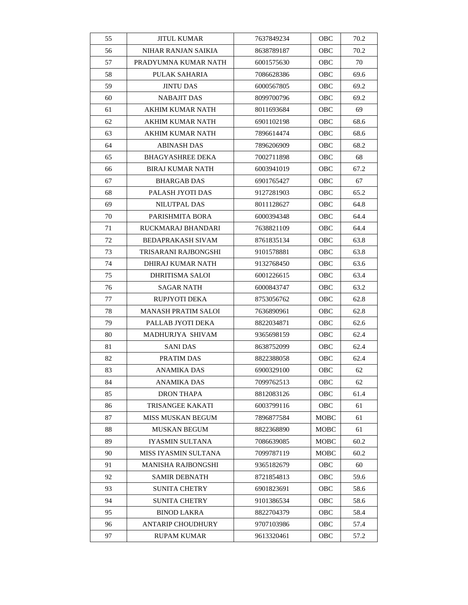| 55 | <b>JITUL KUMAR</b>         | 7637849234 | OBC         | 70.2 |
|----|----------------------------|------------|-------------|------|
| 56 | NIHAR RANJAN SAIKIA        | 8638789187 | OBC         | 70.2 |
| 57 | PRADYUMNA KUMAR NATH       | 6001575630 | OBC         | 70   |
| 58 | PULAK SAHARIA              | 7086628386 | OBC         | 69.6 |
| 59 | <b>JINTU DAS</b>           | 6000567805 | OBC         | 69.2 |
| 60 | <b>NABAJIT DAS</b>         | 8099700796 | OBC         | 69.2 |
| 61 | AKHIM KUMAR NATH           | 8011693684 | OBC         | 69   |
| 62 | AKHIM KUMAR NATH           | 6901102198 | <b>OBC</b>  | 68.6 |
| 63 | <b>AKHIM KUMAR NATH</b>    | 7896614474 | OBC         | 68.6 |
| 64 | ABINASH DAS                | 7896206909 | OBC         | 68.2 |
| 65 | <b>BHAGYASHREE DEKA</b>    | 7002711898 | OBC         | 68   |
| 66 | <b>BIRAJ KUMAR NATH</b>    | 6003941019 | OBC         | 67.2 |
| 67 | <b>BHARGAB DAS</b>         | 6901765427 | OBC         | 67   |
| 68 | PALASH JYOTI DAS           | 9127281903 | OBC         | 65.2 |
| 69 | <b>NILUTPAL DAS</b>        | 8011128627 | <b>OBC</b>  | 64.8 |
| 70 | PARISHMITA BORA            | 6000394348 | OBC         | 64.4 |
| 71 | RUCKMARAJ BHANDARI         | 7638821109 | OBC         | 64.4 |
| 72 | <b>BEDAPRAKASH SIVAM</b>   | 8761835134 | OBC         | 63.8 |
| 73 | TRISARANI RAJBONGSHI       | 9101578881 | OBC         | 63.8 |
| 74 | DHIRAJ KUMAR NATH          | 9132768450 | OBC         | 63.6 |
| 75 | DHRITISMA SALOI            | 6001226615 | OBC         | 63.4 |
| 76 | SAGAR NATH                 | 6000843747 | OBC         | 63.2 |
| 77 | RUPJYOTI DEKA              | 8753056762 | OBC         | 62.8 |
| 78 | <b>MANASH PRATIM SALOI</b> | 7636890961 | OBC         | 62.8 |
| 79 | PALLAB JYOTI DEKA          | 8822034871 | OBC         | 62.6 |
| 80 | MADHURJYA SHIVAM           | 9365698159 | OBC         | 62.4 |
| 81 | <b>SANIDAS</b>             | 8638752099 | OBC         | 62.4 |
| 82 | PRATIM DAS                 | 8822388058 | OBC         | 62.4 |
| 83 | <b>ANAMIKA DAS</b>         | 6900329100 | OBC         | 62   |
| 84 | <b>ANAMIKA DAS</b>         | 7099762513 | OBC         | 62   |
| 85 | <b>DRON THAPA</b>          | 8812083126 | OBC         | 61.4 |
| 86 | <b>TRISANGEE KAKATI</b>    | 6003799116 | OBC         | 61   |
| 87 | MISS MUSKAN BEGUM          | 7896877584 | MOBC        | 61   |
| 88 | <b>MUSKAN BEGUM</b>        | 8822368890 | MOBC        | 61   |
| 89 | IYASMIN SULTANA            | 7086639085 | <b>MOBC</b> | 60.2 |
| 90 | MISS IYASMIN SULTANA       | 7099787119 | MOBC        | 60.2 |
| 91 | MANISHA RAJBONGSHI         | 9365182679 | <b>OBC</b>  | 60   |
| 92 | <b>SAMIR DEBNATH</b>       | 8721854813 | OBC         | 59.6 |
| 93 | <b>SUNITA CHETRY</b>       | 6901823691 | OBC         | 58.6 |
| 94 | <b>SUNITA CHETRY</b>       | 9101386534 | OBC         | 58.6 |
| 95 | <b>BINOD LAKRA</b>         | 8822704379 | OBC         | 58.4 |
| 96 | <b>ANTARIP CHOUDHURY</b>   | 9707103986 | OBC         | 57.4 |
| 97 | RUPAM KUMAR                | 9613320461 | <b>OBC</b>  | 57.2 |